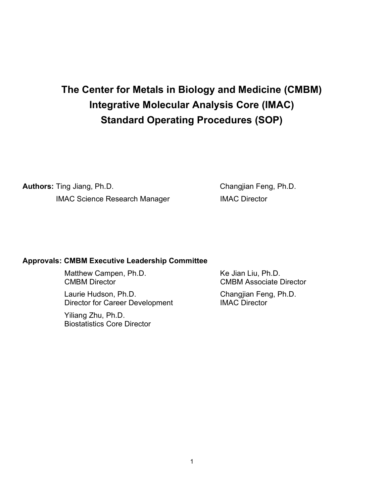# The Center for Metals in Biology and Medicine (CMBM) Integrative Molecular Analysis Core (IMAC) Standard Operating Procedures (SOP)

Authors: Ting Jiang, Ph.D. Changjian Feng, Ph.D. IMAC Science Research Manager **IMAC Director** 

#### Approvals: CMBM Executive Leadership Committee

Matthew Campen, Ph.D. Ke Jian Liu, Ph.D.

 Laurie Hudson, Ph.D. Changjian Feng, Ph.D. Director for Career Development IMAC Director

 Yiliang Zhu, Ph.D. Biostatistics Core Director

CMBM Director CMBM Associate Director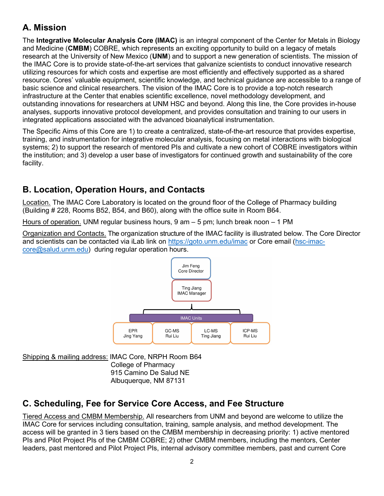# A. Mission

The Integrative Molecular Analysis Core (IMAC) is an integral component of the Center for Metals in Biology and Medicine (CMBM) COBRE, which represents an exciting opportunity to build on a legacy of metals research at the University of New Mexico (UNM) and to support a new generation of scientists. The mission of the IMAC Core is to provide state-of-the-art services that galvanize scientists to conduct innovative research utilizing resources for which costs and expertise are most efficiently and effectively supported as a shared resource. Cores' valuable equipment, scientific knowledge, and technical guidance are accessible to a range of basic science and clinical researchers. The vision of the IMAC Core is to provide a top-notch research infrastructure at the Center that enables scientific excellence, novel methodology development, and outstanding innovations for researchers at UNM HSC and beyond. Along this line, the Core provides in-house analyses, supports innovative protocol development, and provides consultation and training to our users in integrated applications associated with the advanced bioanalytical instrumentation.

The Specific Aims of this Core are 1) to create a centralized, state-of-the-art resource that provides expertise, training, and instrumentation for integrative molecular analysis, focusing on metal interactions with biological systems; 2) to support the research of mentored PIs and cultivate a new cohort of COBRE investigators within the institution; and 3) develop a user base of investigators for continued growth and sustainability of the core facility.

# B. Location, Operation Hours, and Contacts

Location. The IMAC Core Laboratory is located on the ground floor of the College of Pharmacy building (Building # 228, Rooms B52, B54, and B60), along with the office suite in Room B64.

Hours of operation. UNM regular business hours, 9 am – 5 pm; lunch break noon – 1 PM

Organization and Contacts. The organization structure of the IMAC facility is illustrated below. The Core Director and scientists can be contacted via iLab link on https://goto.unm.edu/imac or Core email (hsc-imaccore@salud.unm.edu) during regular operation hours.



Shipping & mailing address: IMAC Core, NRPH Room B64 College of Pharmacy 915 Camino De Salud NE Albuquerque, NM 87131

# C. Scheduling, Fee for Service Core Access, and Fee Structure

Tiered Access and CMBM Membership. All researchers from UNM and beyond are welcome to utilize the IMAC Core for services including consultation, training, sample analysis, and method development. The access will be granted in 3 tiers based on the CMBM membership in decreasing priority: 1) active mentored PIs and Pilot Project PIs of the CMBM COBRE; 2) other CMBM members, including the mentors, Center leaders, past mentored and Pilot Project PIs, internal advisory committee members, past and current Core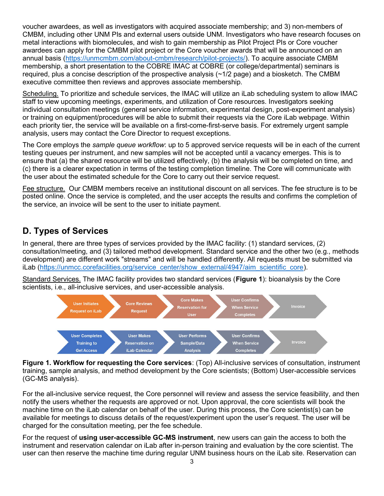voucher awardees, as well as investigators with acquired associate membership; and 3) non-members of CMBM, including other UNM PIs and external users outside UNM. Investigators who have research focuses on metal interactions with biomolecules, and wish to gain membership as Pilot Project PIs or Core voucher awardees can apply for the CMBM pilot project or the Core voucher awards that will be announced on an annual basis (https://unmcmbm.com/about-cmbm/research/pilot-projects/). To acquire associate CMBM membership, a short presentation to the COBRE IMAC at COBRE (or college/departmental) seminars is required, plus a concise description of the prospective analysis (~1/2 page) and a biosketch. The CMBM executive committee then reviews and approves associate membership.

Scheduling. To prioritize and schedule services, the IMAC will utilize an iLab scheduling system to allow IMAC staff to view upcoming meetings, experiments, and utilization of Core resources. Investigators seeking individual consultation meetings (general service information, experimental design, post-experiment analysis) or training on equipment/procedures will be able to submit their requests via the Core iLab webpage. Within each priority tier, the service will be available on a first-come-first-serve basis. For extremely urgent sample analysis, users may contact the Core Director to request exceptions.

The Core employs the *sample queue workflow*: up to 5 approved service requests will be in each of the current testing queues per instrument, and new samples will not be accepted until a vacancy emerges. This is to ensure that (a) the shared resource will be utilized effectively, (b) the analysis will be completed on time, and (c) there is a clearer expectation in terms of the testing completion timeline. The Core will communicate with the user about the estimated schedule for the Core to carry out their service request.

Fee structure. Our CMBM members receive an institutional discount on all services. The fee structure is to be posted online. Once the service is completed, and the user accepts the results and confirms the completion of the service, an invoice will be sent to the user to initiate payment.

# D. Types of Services

In general, there are three types of services provided by the IMAC facility: (1) standard services, (2) consultation/meeting, and (3) tailored method development. Standard service and the other two (e.g., methods development) are different work "streams" and will be handled differently. All requests must be submitted via iLab (https://unmcc.corefacilities.org/service\_center/show\_external/4947/aim\_scientific\_core).

Standard Services. The IMAC facility provides two standard services (Figure 1): bioanalysis by the Core scientists, i.e., all-inclusive services, and user-accessible analysis.



Figure 1. Workflow for requesting the Core services: (Top) All-inclusive services of consultation, instrument training, sample analysis, and method development by the Core scientists; (Bottom) User-accessible services (GC-MS analysis).

For the all-inclusive service request, the Core personnel will review and assess the service feasibility, and then notify the users whether the requests are approved or not. Upon approval, the core scientists will book the machine time on the iLab calendar on behalf of the user. During this process, the Core scientist(s) can be available for meetings to discuss details of the request/experiment upon the user's request. The user will be charged for the consultation meeting, per the fee schedule.

For the request of using user-accessible GC-MS instrument, new users can gain the access to both the instrument and reservation calendar on iLab after in-person training and evaluation by the core scientist. The user can then reserve the machine time during regular UNM business hours on the iLab site. Reservation can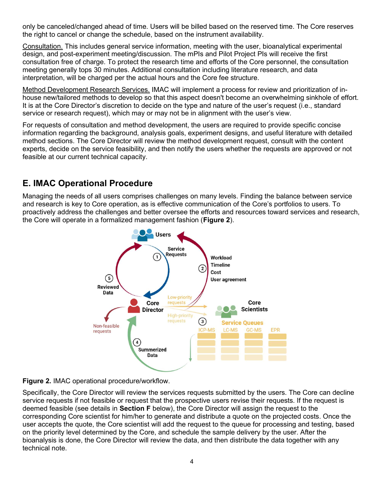only be canceled/changed ahead of time. Users will be billed based on the reserved time. The Core reserves the right to cancel or change the schedule, based on the instrument availability.

Consultation. This includes general service information, meeting with the user, bioanalytical experimental design, and post-experiment meeting/discussion. The mPIs and Pilot Project PIs will receive the first consultation free of charge. To protect the research time and efforts of the Core personnel, the consultation meeting generally tops 30 minutes. Additional consultation including literature research, and data interpretation, will be charged per the actual hours and the Core fee structure.

Method Development Research Services. IMAC will implement a process for review and prioritization of inhouse new/tailored methods to develop so that this aspect doesn't become an overwhelming sinkhole of effort. It is at the Core Director's discretion to decide on the type and nature of the user's request (i.e., standard service or research request), which may or may not be in alignment with the user's view.

For requests of consultation and method development, the users are required to provide specific concise information regarding the background, analysis goals, experiment designs, and useful literature with detailed method sections. The Core Director will review the method development request, consult with the content experts, decide on the service feasibility, and then notify the users whether the requests are approved or not feasible at our current technical capacity.

# E. IMAC Operational Procedure

Managing the needs of all users comprises challenges on many levels. Finding the balance between service and research is key to Core operation, as is effective communication of the Core's portfolios to users. To proactively address the challenges and better oversee the efforts and resources toward services and research, the Core will operate in a formalized management fashion (Figure 2).





Specifically, the Core Director will review the services requests submitted by the users. The Core can decline service requests if not feasible or request that the prospective users revise their requests. If the request is deemed feasible (see details in Section F below), the Core Director will assign the request to the corresponding Core scientist for him/her to generate and distribute a quote on the projected costs. Once the user accepts the quote, the Core scientist will add the request to the queue for processing and testing, based on the priority level determined by the Core, and schedule the sample delivery by the user. After the bioanalysis is done, the Core Director will review the data, and then distribute the data together with any technical note.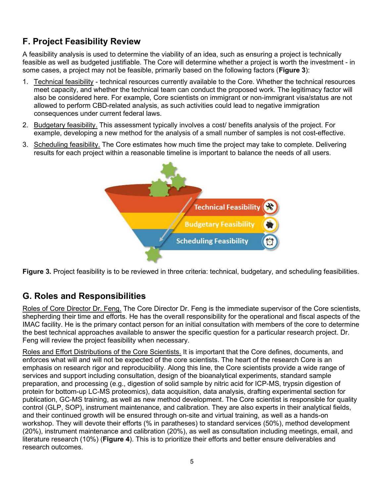# F. Project Feasibility Review

A feasibility analysis is used to determine the viability of an idea, such as ensuring a project is technically feasible as well as budgeted justifiable. The Core will determine whether a project is worth the investment - in some cases, a project may not be feasible, primarily based on the following factors (**Figure 3**):

- 1. Technical feasibility technical resources currently available to the Core. Whether the technical resources meet capacity, and whether the technical team can conduct the proposed work. The legitimacy factor will also be considered here. For example, Core scientists on immigrant or non-immigrant visa/status are not allowed to perform CBD-related analysis, as such activities could lead to negative immigration consequences under current federal laws.
- 2. Budgetary feasibility. This assessment typically involves a cost/ benefits analysis of the project. For example, developing a new method for the analysis of a small number of samples is not cost-effective.
- 3. Scheduling feasibility. The Core estimates how much time the project may take to complete. Delivering results for each project within a reasonable timeline is important to balance the needs of all users.



Figure 3. Project feasibility is to be reviewed in three criteria: technical, budgetary, and scheduling feasibilities.

# G. Roles and Responsibilities

Roles of Core Director Dr. Feng. The Core Director Dr. Feng is the immediate supervisor of the Core scientists, shepherding their time and efforts. He has the overall responsibility for the operational and fiscal aspects of the IMAC facility. He is the primary contact person for an initial consultation with members of the core to determine the best technical approaches available to answer the specific question for a particular research project. Dr. Feng will review the project feasibility when necessary.

Roles and Effort Distributions of the Core Scientists. It is important that the Core defines, documents, and enforces what will and will not be expected of the core scientists. The heart of the research Core is an emphasis on research rigor and reproducibility. Along this line, the Core scientists provide a wide range of services and support including consultation, design of the bioanalytical experiments, standard sample preparation, and processing (e.g., digestion of solid sample by nitric acid for ICP-MS, trypsin digestion of protein for bottom-up LC-MS proteomics), data acquisition, data analysis, drafting experimental section for publication, GC-MS training, as well as new method development. The Core scientist is responsible for quality control (GLP, SOP), instrument maintenance, and calibration. They are also experts in their analytical fields, and their continued growth will be ensured through on-site and virtual training, as well as a hands-on workshop. They will devote their efforts (% in paratheses) to standard services (50%), method development (20%), instrument maintenance and calibration (20%), as well as consultation including meetings, email, and literature research (10%) (Figure 4). This is to prioritize their efforts and better ensure deliverables and research outcomes.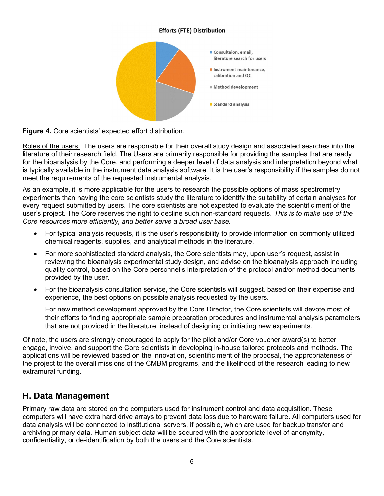#### **Efforts (FTE) Distribution**



Figure 4. Core scientists' expected effort distribution.

Roles of the users. The users are responsible for their overall study design and associated searches into the literature of their research field. The Users are primarily responsible for providing the samples that are ready for the bioanalysis by the Core, and performing a deeper level of data analysis and interpretation beyond what is typically available in the instrument data analysis software. It is the user's responsibility if the samples do not meet the requirements of the requested instrumental analysis.

As an example, it is more applicable for the users to research the possible options of mass spectrometry experiments than having the core scientists study the literature to identify the suitability of certain analyses for every request submitted by users. The core scientists are not expected to evaluate the scientific merit of the user's project. The Core reserves the right to decline such non-standard requests. This is to make use of the Core resources more efficiently, and better serve a broad user base.

- For typical analysis requests, it is the user's responsibility to provide information on commonly utilized chemical reagents, supplies, and analytical methods in the literature.
- For more sophisticated standard analysis, the Core scientists may, upon user's request, assist in reviewing the bioanalysis experimental study design, and advise on the bioanalysis approach including quality control, based on the Core personnel's interpretation of the protocol and/or method documents provided by the user.
- For the bioanalysis consultation service, the Core scientists will suggest, based on their expertise and experience, the best options on possible analysis requested by the users.

For new method development approved by the Core Director, the Core scientists will devote most of their efforts to finding appropriate sample preparation procedures and instrumental analysis parameters that are not provided in the literature, instead of designing or initiating new experiments.

Of note, the users are strongly encouraged to apply for the pilot and/or Core voucher award(s) to better engage, involve, and support the Core scientists in developing in-house tailored protocols and methods. The applications will be reviewed based on the innovation, scientific merit of the proposal, the appropriateness of the project to the overall missions of the CMBM programs, and the likelihood of the research leading to new extramural funding.

#### H. Data Management

Primary raw data are stored on the computers used for instrument control and data acquisition. These computers will have extra hard drive arrays to prevent data loss due to hardware failure. All computers used for data analysis will be connected to institutional servers, if possible, which are used for backup transfer and archiving primary data. Human subject data will be secured with the appropriate level of anonymity, confidentiality, or de-identification by both the users and the Core scientists.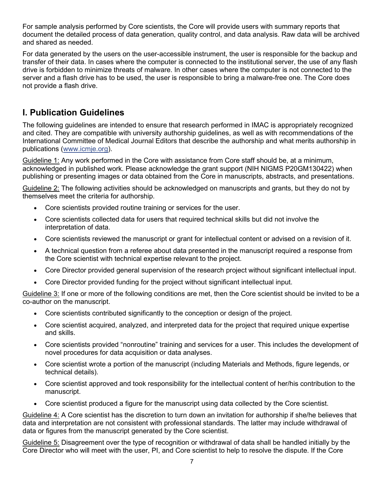For sample analysis performed by Core scientists, the Core will provide users with summary reports that document the detailed process of data generation, quality control, and data analysis. Raw data will be archived and shared as needed.

For data generated by the users on the user-accessible instrument, the user is responsible for the backup and transfer of their data. In cases where the computer is connected to the institutional server, the use of any flash drive is forbidden to minimize threats of malware. In other cases where the computer is not connected to the server and a flash drive has to be used, the user is responsible to bring a malware-free one. The Core does not provide a flash drive.

### I. Publication Guidelines

The following guidelines are intended to ensure that research performed in IMAC is appropriately recognized and cited. They are compatible with university authorship guidelines, as well as with recommendations of the International Committee of Medical Journal Editors that describe the authorship and what merits authorship in publications (www.icmje.org).

Guideline 1: Any work performed in the Core with assistance from Core staff should be, at a minimum, acknowledged in published work. Please acknowledge the grant support (NIH NIGMS P20GM130422) when publishing or presenting images or data obtained from the Core in manuscripts, abstracts, and presentations.

Guideline 2: The following activities should be acknowledged on manuscripts and grants, but they do not by themselves meet the criteria for authorship.

- Core scientists provided routine training or services for the user.
- Core scientists collected data for users that required technical skills but did not involve the interpretation of data.
- Core scientists reviewed the manuscript or grant for intellectual content or advised on a revision of it.
- A technical question from a referee about data presented in the manuscript required a response from the Core scientist with technical expertise relevant to the project.
- Core Director provided general supervision of the research project without significant intellectual input.
- Core Director provided funding for the project without significant intellectual input.

Guideline 3: If one or more of the following conditions are met, then the Core scientist should be invited to be a co-author on the manuscript.

- Core scientists contributed significantly to the conception or design of the project.
- Core scientist acquired, analyzed, and interpreted data for the project that required unique expertise and skills.
- Core scientists provided "nonroutine" training and services for a user. This includes the development of novel procedures for data acquisition or data analyses.
- Core scientist wrote a portion of the manuscript (including Materials and Methods, figure legends, or technical details).
- Core scientist approved and took responsibility for the intellectual content of her/his contribution to the manuscript.
- Core scientist produced a figure for the manuscript using data collected by the Core scientist.

Guideline 4: A Core scientist has the discretion to turn down an invitation for authorship if she/he believes that data and interpretation are not consistent with professional standards. The latter may include withdrawal of data or figures from the manuscript generated by the Core scientist.

Guideline 5: Disagreement over the type of recognition or withdrawal of data shall be handled initially by the Core Director who will meet with the user, PI, and Core scientist to help to resolve the dispute. If the Core